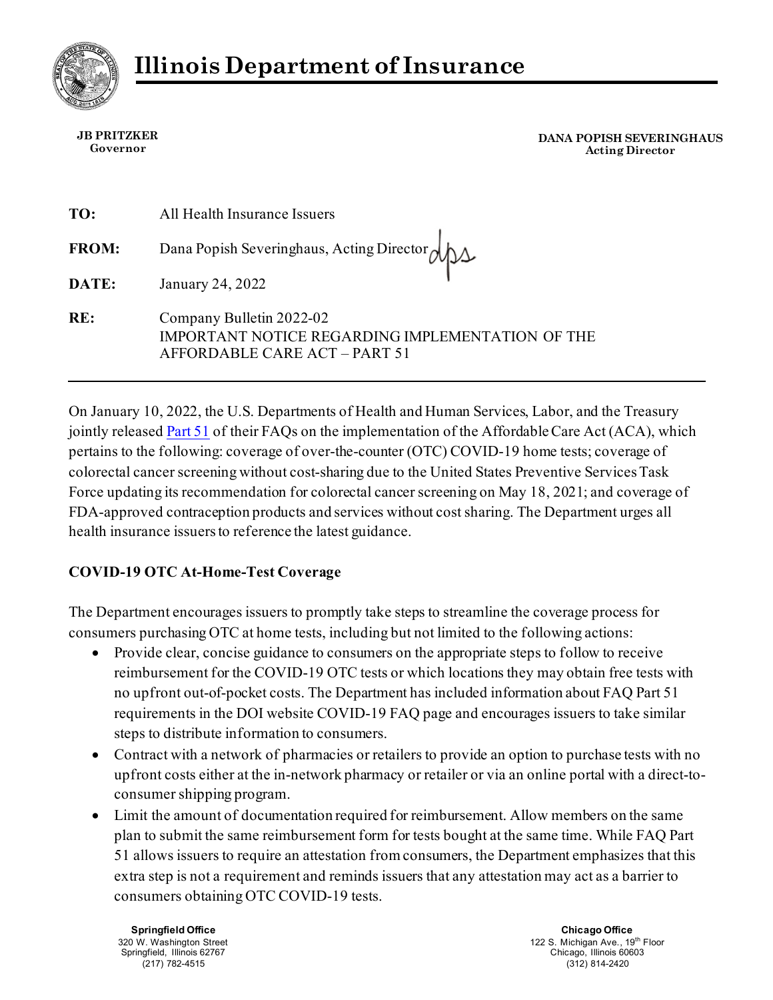

**JB PRITZKER Governor**

**DANA POPISH SEVERINGHAUS Acting Director**

| TO:          | All Health Insurance Issuers                                                                                  |
|--------------|---------------------------------------------------------------------------------------------------------------|
| <b>FROM:</b> | Dana Popish Severinghaus, Acting Director (                                                                   |
| DATE:        | January 24, 2022                                                                                              |
| RE:          | Company Bulletin 2022-02<br>IMPORTANT NOTICE REGARDING IMPLEMENTATION OF THE<br>AFFORDABLE CARE ACT - PART 51 |

On January 10, 2022, the U.S. Departments of Health and Human Services, Labor, and the Treasury jointly release[d Part 51](https://www.dol.gov/sites/dolgov/files/EBSA/about-ebsa/our-activities/resource-center/faqs/aca-part-51.pdf) of their FAQs on the implementation of the Affordable Care Act (ACA), which pertains to the following: coverage of over-the-counter (OTC) COVID-19 home tests; coverage of colorectal cancer screening without cost-sharing due to the United States Preventive Services Task Force updating its recommendation for colorectal cancer screening on May 18, 2021; and coverage of FDA-approved contraception products and services without cost sharing. The Department urges all health insurance issuers to reference the latest guidance.

## **COVID-19 OTC At-Home-Test Coverage**

The Department encourages issuers to promptly take steps to streamline the coverage process for consumers purchasing OTC at home tests, including but not limited to the following actions:

- Provide clear, concise guidance to consumers on the appropriate steps to follow to receive reimbursement for the COVID-19 OTC tests or which locations they may obtain free tests with no upfront out-of-pocket costs. The Department has included information about FAQ Part 51 requirements in the DOI website COVID-19 FAQ page and encourages issuers to take similar steps to distribute information to consumers.
- Contract with a network of pharmacies or retailers to provide an option to purchase tests with no upfront costs either at the in-network pharmacy or retailer or via an online portal with a direct-toconsumer shipping program.
- Limit the amount of documentation required for reimbursement. Allow members on the same plan to submit the same reimbursement form for tests bought at the same time. While FAQ Part 51 allows issuers to require an attestation from consumers, the Department emphasizes that this extra step is not a requirement and reminds issuers that any attestation may act as a barrier to consumers obtaining OTC COVID-19 tests.

**Springfield Office** 320 W. Washington Street Springfield, Illinois 62767 (217) 782-4515

**Chicago Office** 122 S. Michigan Ave., 19<sup>th</sup> Floor Chicago, Illinois 60603 (312) 814-2420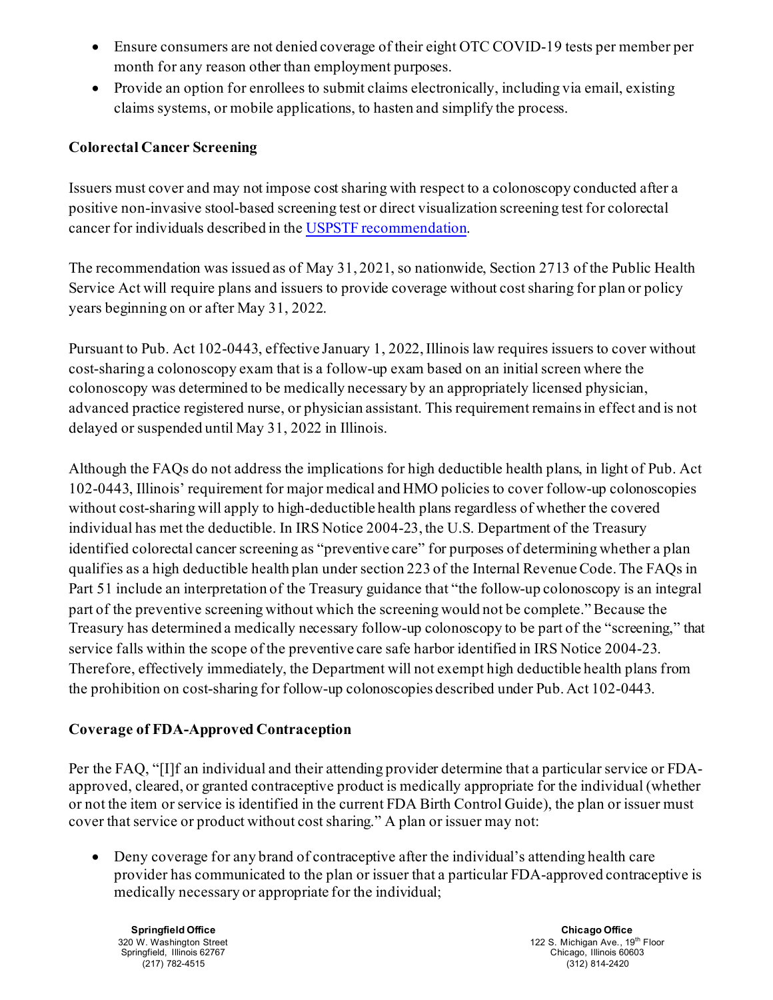- Ensure consumers are not denied coverage of their eight OTC COVID-19 tests per member per month for any reason other than employment purposes.
- Provide an option for enrollees to submit claims electronically, including via email, existing claims systems, or mobile applications, to hasten and simplify the process.

## **Colorectal Cancer Screening**

Issuers must cover and may not impose cost sharing with respect to a colonoscopy conducted after a positive non-invasive stool-based screening test or direct visualization screening test for colorectal cancer for individuals described in th[e USPSTF recommendation](https://www.uspreventiveservicestaskforce.org/uspstf/recommendation-topics/uspstf-and-b-recommendations).

The recommendation was issued as of May 31, 2021, so nationwide, Section 2713 of the Public Health Service Act will require plans and issuers to provide coverage without cost sharing for plan or policy years beginning on or after May 31, 2022.

Pursuant to Pub. Act 102-0443, effective January 1, 2022, Illinois law requires issuers to cover without cost-sharing a colonoscopy exam that is a follow-up exam based on an initial screen where the colonoscopy was determined to be medically necessary by an appropriately licensed physician, advanced practice registered nurse, or physician assistant. This requirement remains in effect and is not delayed or suspended until May 31, 2022 in Illinois.

Although the FAQs do not address the implications for high deductible health plans, in light of Pub. Act 102-0443, Illinois' requirement for major medical and HMO policies to cover follow-up colonoscopies without cost-sharing will apply to high-deductible health plans regardless of whether the covered individual has met the deductible. In IRS Notice 2004-23, the U.S. Department of the Treasury identified colorectal cancer screening as "preventive care" for purposes of determining whether a plan qualifies as a high deductible health plan under section 223 of the Internal Revenue Code. The FAQs in Part 51 include an interpretation of the Treasury guidance that "the follow-up colonoscopy is an integral part of the preventive screening without which the screening would not be complete."Because the Treasury has determined a medically necessary follow-up colonoscopy to be part of the "screening," that service falls within the scope of the preventive care safe harbor identified in IRS Notice 2004-23. Therefore, effectively immediately, the Department will not exempt high deductible health plans from the prohibition on cost-sharing for follow-up colonoscopies described under Pub. Act 102-0443.

## **Coverage of FDA-Approved Contraception**

Per the FAQ, "[I]f an individual and their attending provider determine that a particular service or FDAapproved, cleared, or granted contraceptive product is medically appropriate for the individual (whether or not the item or service is identified in the current FDA Birth Control Guide), the plan or issuer must cover that service or product without cost sharing." A plan or issuer may not:

• Deny coverage for any brand of contraceptive after the individual's attending health care provider has communicated to the plan or issuer that a particular FDA-approved contraceptive is medically necessary or appropriate for the individual;

**Springfield Office** 320 W. Washington Street Springfield, Illinois 62767 (217) 782-4515

**Chicago Office** 122 S. Michigan Ave., 19<sup>th</sup> Floor Chicago, Illinois 60603 (312) 814-2420